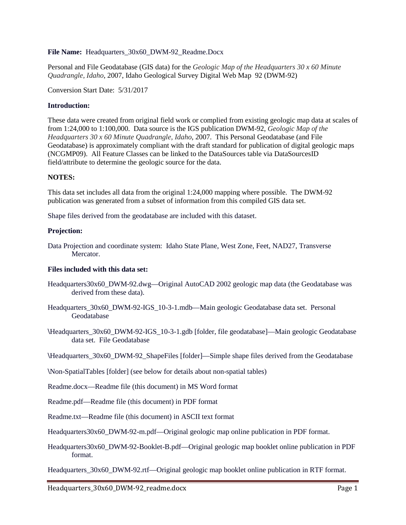# **File Name:** Headquarters\_30x60\_DWM-92\_Readme.Docx

Personal and File Geodatabase (GIS data) for the *Geologic Map of the Headquarters 30 x 60 Minute Quadrangle, Idaho*, 2007, Idaho Geological Survey Digital Web Map 92 (DWM-92)

Conversion Start Date: 5/31/2017

# **Introduction:**

These data were created from original field work or complied from existing geologic map data at scales of from 1:24,000 to 1:100,000. Data source is the IGS publication DWM-92, *Geologic Map of the Headquarters 30 x 60 Minute Quadrangle, Idaho*, 2007. This Personal Geodatabase (and File Geodatabase) is approximately compliant with the draft standard for publication of digital geologic maps (NCGMP09). All Feature Classes can be linked to the DataSources table via DataSourcesID field/attribute to determine the geologic source for the data.

#### **NOTES:**

This data set includes all data from the original 1:24,000 mapping where possible. The DWM-92 publication was generated from a subset of information from this compiled GIS data set.

Shape files derived from the geodatabase are included with this dataset.

#### **Projection:**

Data Projection and coordinate system: Idaho State Plane, West Zone, Feet, NAD27, Transverse Mercator.

## **Files included with this data set:**

- Headquarters30x60\_DWM-92.dwg—Original AutoCAD 2002 geologic map data (the Geodatabase was derived from these data).
- Headquarters\_30x60\_DWM-92-IGS\_10-3-1.mdb—Main geologic Geodatabase data set. Personal Geodatabase
- **\**Headquarters\_30x60\_DWM-92-IGS\_10-3-1.gdb [folder, file geodatabase]—Main geologic Geodatabase data set. File Geodatabase
- **\**Headquarters\_30x60\_DWM-92\_ShapeFiles [folder]—Simple shape files derived from the Geodatabase

**\**Non-SpatialTables [folder] (see below for details about non-spatial tables)

- Readme.docx—Readme file (this document) in MS Word format
- Readme.pdf—Readme file (this document) in PDF format
- Readme.txt—Readme file (this document) in ASCII text format

Headquarters30x60\_DWM-92-m.pdf—Original geologic map online publication in PDF format.

Headquarters30x60\_DWM-92-Booklet-B.pdf—Original geologic map booklet online publication in PDF format.

Headquarters\_30x60\_DWM-92.rtf—Original geologic map booklet online publication in RTF format.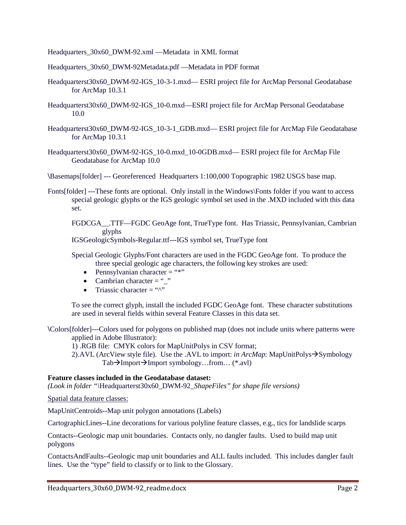Headquarters 30x60 DWM-92.xml —Metadata in XML format

Headquarters\_30x60\_DWM-92Metadata.pdf —Metadata in PDF format

- Headquarterst30x60\_DWM-92-IGS\_10-3-1.mxd— ESRI project file for ArcMap Personal Geodatabase for ArcMap 10.3.1
- Headquarterst30x60\_DWM-92-IGS\_10-0.mxd—ESRI project file for ArcMap Personal Geodatabase 10.0
- Headquarterst30x60\_DWM-92-IGS\_10-3-1\_GDB.mxd— ESRI project file for ArcMap File Geodatabase for ArcMap 10.3.1
- Headquarterst30x60\_DWM-92-IGS\_10-0.mxd\_10-0GDB.mxd— ESRI project file for ArcMap File Geodatabase for ArcMap 10.0

**\**Basemaps[folder] --- Georeferenced Headquarters 1:100,000 Topographic 1982 USGS base map.

Fonts[folder] ---These fonts are optional. Only install in the Windows\Fonts folder if you want to access special geologic glyphs or the IGS geologic symbol set used in the .MXD included with this data set.

FGDCGA\_\_.TTF—FGDC GeoAge font, TrueType font. Has Triassic, Pennsylvanian, Cambrian glyphs

IGSGeologicSymbols-Regular.ttf---IGS symbol set, TrueType font

Special Geologic Glyphs/Font characters are used in the FGDC GeoAge font. To produce the three special geologic age characters, the following key strokes are used:

- Pennsylvanian character  $=$  "\*"
- Cambrian character  $=$  " $"$ "
- Triassic character  $=$  " $\wedge$ "

To see the correct glyph, install the included FGDC GeoAge font. These character substitutions are used in several fields within several Feature Classes in this data set.

**\**Colors[folder]---Colors used for polygons on published map (does not include units where patterns were applied in Adobe Illustrator):

1) .RGB file: CMYK colors for MapUnitPolys in CSV format;

2).AVL (ArcView style file). Use the .AVL to import: *in ArcMap*: MapUnitPolys $\rightarrow$ Symbology  $Tab\rightarrow$ Import $\rightarrow$ Import symbology…from… (\*.avl)

## **Feature classes included in the Geodatabase dataset:**

*(Look in folder "\*Headquarterst30x60\_DWM-92*\_ShapeFiles" for shape file versions)*

Spatial data feature classes:

MapUnitCentroids--Map unit polygon annotations (Labels)

CartographicLines--Line decorations for various polyline feature classes, e.g., tics for landslide scarps

Contacts--Geologic map unit boundaries. Contacts only, no dangler faults. Used to build map unit polygons

ContactsAndFaults--Geologic map unit boundaries and ALL faults included. This includes dangler fault lines. Use the "type" field to classify or to link to the Glossary.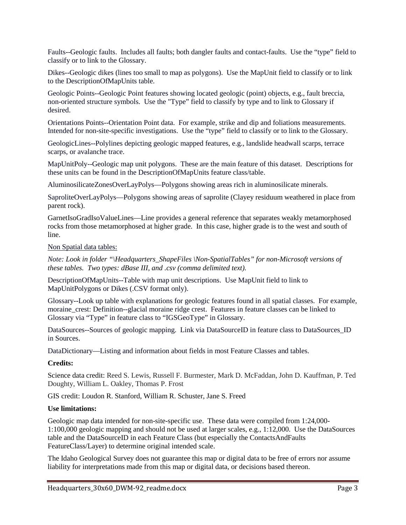Faults--Geologic faults. Includes all faults; both dangler faults and contact-faults. Use the "type" field to classify or to link to the Glossary.

Dikes--Geologic dikes (lines too small to map as polygons). Use the MapUnit field to classify or to link to the DescriptionOfMapUnits table.

Geologic Points--Geologic Point features showing located geologic (point) objects, e.g., fault breccia, non-oriented structure symbols. Use the "Type" field to classify by type and to link to Glossary if desired.

Orientations Points--Orientation Point data. For example, strike and dip and foliations measurements. Intended for non-site-specific investigations. Use the "type" field to classify or to link to the Glossary.

GeologicLines--Polylines depicting geologic mapped features, e.g., landslide headwall scarps, terrace scarps, or avalanche trace.

MapUnitPoly--Geologic map unit polygons. These are the main feature of this dataset. Descriptions for these units can be found in the DescriptionOfMapUnits feature class/table.

AluminosilicateZonesOverLayPolys—Polygons showing areas rich in aluminosilicate minerals.

SaproliteOverLayPolys—Polygons showing areas of saprolite (Clayey residuum weathered in place from parent rock).

GarnetIsoGradIsoValueLines—Line provides a general reference that separates weakly metamorphosed rocks from those metamorphosed at higher grade. In this case, higher grade is to the west and south of line.

#### Non Spatial data tables:

*Note: Look in folder "\Headquarters\_ShapeFiles \Non-SpatialTables" for non-Microsoft versions of these tables. Two types: dBase III, and .csv (comma delimited text).* 

DescriptionOfMapUnits--Table with map unit descriptions. Use MapUnit field to link to MapUnitPolygons or Dikes (.CSV format only).

Glossary--Look up table with explanations for geologic features found in all spatial classes. For example, moraine crest: Definition--glacial moraine ridge crest. Features in feature classes can be linked to Glossary via "Type" in feature class to "IGSGeoType" in Glossary.

DataSources--Sources of geologic mapping. Link via DataSourceID in feature class to DataSources\_ID in Sources.

DataDictionary—Listing and information about fields in most Feature Classes and tables.

## **Credits:**

Science data credit: Reed S. Lewis, Russell F. Burmester, Mark D. McFaddan, John D. Kauffman, P. Ted Doughty, William L. Oakley, Thomas P. Frost

GIS credit: Loudon R. Stanford, William R. Schuster, Jane S. Freed

### **Use limitations:**

Geologic map data intended for non-site-specific use. These data were compiled from 1:24,000- 1:100,000 geologic mapping and should not be used at larger scales, e.g., 1:12,000. Use the DataSources table and the DataSourceID in each Feature Class (but especially the ContactsAndFaults FeatureClass/Layer) to determine original intended scale.

The Idaho Geological Survey does not guarantee this map or digital data to be free of errors nor assume liability for interpretations made from this map or digital data, or decisions based thereon.